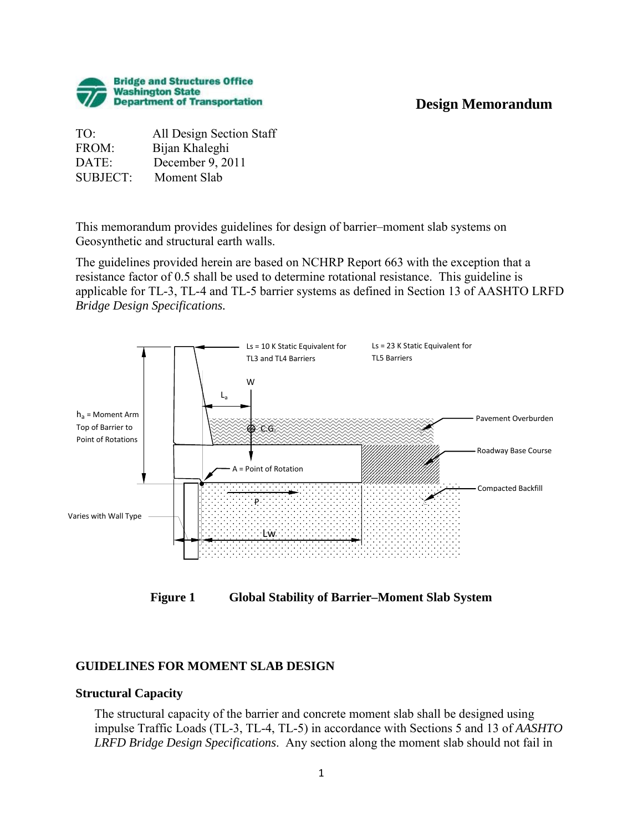# **Design Memorandum**



TO: All Design Section Staff FROM: Bijan Khaleghi DATE: December 9, 2011 SUBJECT: Moment Slab

This memorandum provides guidelines for design of barrier–moment slab systems on Geosynthetic and structural earth walls.

The guidelines provided herein are based on NCHRP Report 663 with the exception that a resistance factor of 0.5 shall be used to determine rotational resistance. This guideline is applicable for TL-3, TL-4 and TL-5 barrier systems as defined in Section 13 of AASHTO LRFD *Bridge Design Specifications.* 



**Figure 1 Global Stability of Barrier–Moment Slab System** 

# **GUIDELINES FOR MOMENT SLAB DESIGN**

## **Structural Capacity**

The structural capacity of the barrier and concrete moment slab shall be designed using impulse Traffic Loads (TL-3, TL-4, TL-5) in accordance with Sections 5 and 13 of *AASHTO LRFD Bridge Design Specifications*. Any section along the moment slab should not fail in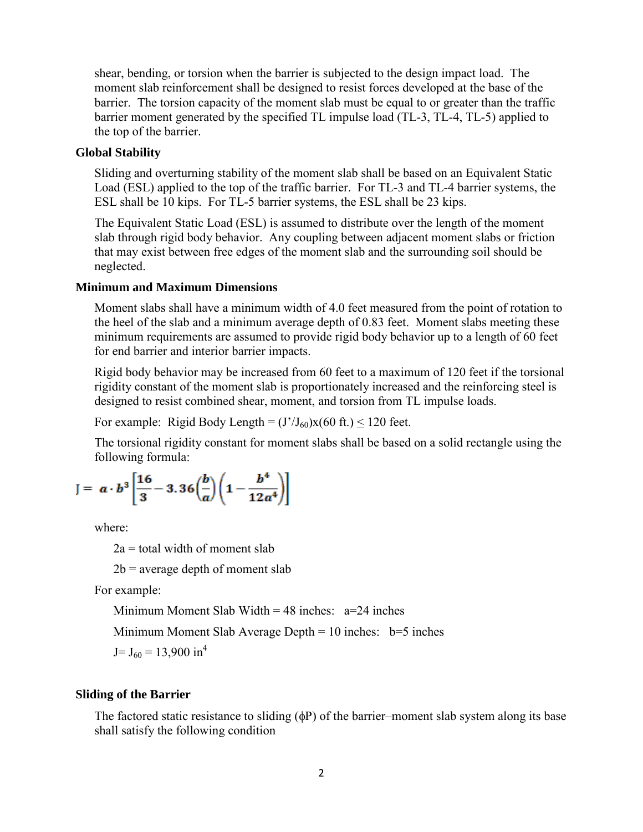shear, bending, or torsion when the barrier is subjected to the design impact load. The moment slab reinforcement shall be designed to resist forces developed at the base of the barrier. The torsion capacity of the moment slab must be equal to or greater than the traffic barrier moment generated by the specified TL impulse load (TL-3, TL-4, TL-5) applied to the top of the barrier.

## **Global Stability**

Sliding and overturning stability of the moment slab shall be based on an Equivalent Static Load (ESL) applied to the top of the traffic barrier. For TL-3 and TL-4 barrier systems, the ESL shall be 10 kips. For TL-5 barrier systems, the ESL shall be 23 kips.

The Equivalent Static Load (ESL) is assumed to distribute over the length of the moment slab through rigid body behavior. Any coupling between adjacent moment slabs or friction that may exist between free edges of the moment slab and the surrounding soil should be neglected.

## **Minimum and Maximum Dimensions**

Moment slabs shall have a minimum width of 4.0 feet measured from the point of rotation to the heel of the slab and a minimum average depth of 0.83 feet. Moment slabs meeting these minimum requirements are assumed to provide rigid body behavior up to a length of 60 feet for end barrier and interior barrier impacts.

Rigid body behavior may be increased from 60 feet to a maximum of 120 feet if the torsional rigidity constant of the moment slab is proportionately increased and the reinforcing steel is designed to resist combined shear, moment, and torsion from TL impulse loads.

For example: Rigid Body Length =  $(J'/J_{60})x(60 \text{ ft.})$  < 120 feet.

The torsional rigidity constant for moment slabs shall be based on a solid rectangle using the following formula:

$$
J = \alpha \cdot b^3 \left[ \frac{16}{3} - 3.36 \left( \frac{b}{a} \right) \left( 1 - \frac{b^4}{12 a^4} \right) \right]
$$

where:

 $2a =$  total width of moment slab

 $2b$  = average depth of moment slab

For example:

Minimum Moment Slab Width =  $48$  inches:  $a=24$  inches

Minimum Moment Slab Average Depth  $= 10$  inches:  $b=5$  inches

 $J= J_{60} = 13,900 \text{ in}^4$ 

## **Sliding of the Barrier**

The factored static resistance to sliding (φP) of the barrier–moment slab system along its base shall satisfy the following condition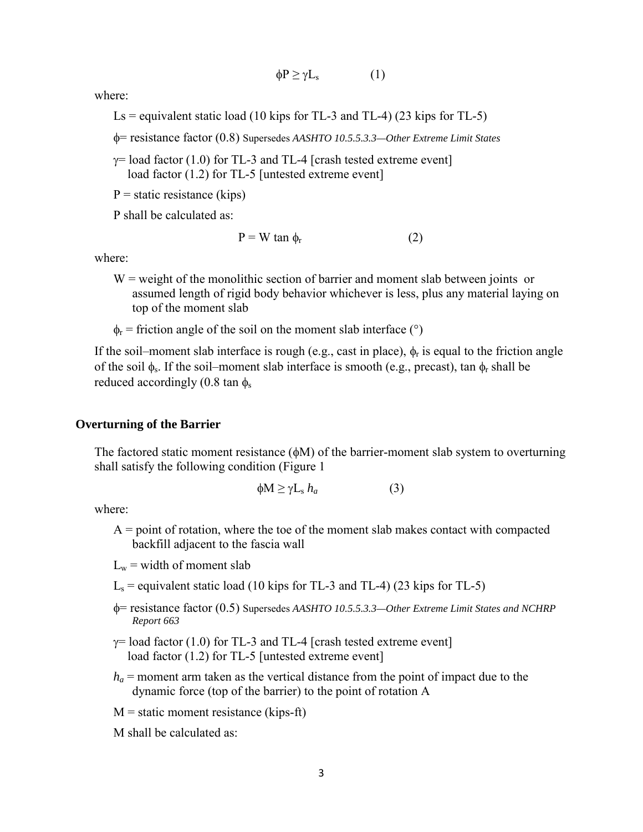$$
\phi P \ge \gamma L_s \tag{1}
$$

where:

Ls = equivalent static load (10 kips for TL-3 and TL-4) (23 kips for TL-5)

φ= resistance factor (0.8) Supersedes *AASHTO 10.5.5.3.3—Other Extreme Limit States*

 $\gamma$ = load factor (1.0) for TL-3 and TL-4 [crash tested extreme event] load factor (1.2) for TL-5 [untested extreme event]

 $P =$  static resistance (kips)

P shall be calculated as:

$$
P = W \tan \phi_r \tag{2}
$$

where:

- $W =$  weight of the monolithic section of barrier and moment slab between joints or assumed length of rigid body behavior whichever is less, plus any material laying on top of the moment slab
- $\phi_r$  = friction angle of the soil on the moment slab interface (°)

If the soil–moment slab interface is rough (e.g., cast in place),  $\phi_r$  is equal to the friction angle of the soil  $\phi_s$ . If the soil–moment slab interface is smooth (e.g., precast), tan  $\phi_r$  shall be reduced accordingly  $(0.8 \tan \phi_s)$ 

#### **Overturning of the Barrier**

The factored static moment resistance  $(\phi M)$  of the barrier-moment slab system to overturning shall satisfy the following condition (Figure 1

$$
\phi M \ge \gamma L_s h_a \tag{3}
$$

where:

 $A =$  point of rotation, where the toe of the moment slab makes contact with compacted backfill adjacent to the fascia wall

 $L_w$  = width of moment slab

- $L<sub>s</sub>$  = equivalent static load (10 kips for TL-3 and TL-4) (23 kips for TL-5)
- φ= resistance factor (0.5) Supersedes *AASHTO 10.5.5.3.3—Other Extreme Limit States and NCHRP Report 663*
- $\gamma$ = load factor (1.0) for TL-3 and TL-4 [crash tested extreme event] load factor (1.2) for TL-5 [untested extreme event]
- $h_a$  = moment arm taken as the vertical distance from the point of impact due to the dynamic force (top of the barrier) to the point of rotation A

 $M =$  static moment resistance (kips-ft)

M shall be calculated as: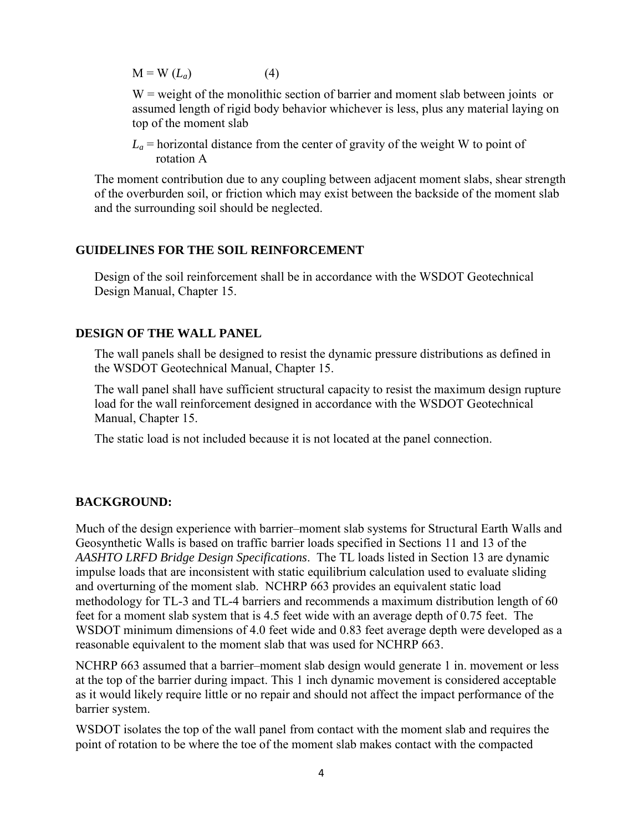$M = W (L<sub>a</sub>)$  (4)

 $W =$  weight of the monolithic section of barrier and moment slab between joints or assumed length of rigid body behavior whichever is less, plus any material laying on top of the moment slab

 $L_a$  = horizontal distance from the center of gravity of the weight W to point of rotation A

The moment contribution due to any coupling between adjacent moment slabs, shear strength of the overburden soil, or friction which may exist between the backside of the moment slab and the surrounding soil should be neglected.

## **GUIDELINES FOR THE SOIL REINFORCEMENT**

Design of the soil reinforcement shall be in accordance with the WSDOT Geotechnical Design Manual, Chapter 15.

# **DESIGN OF THE WALL PANEL**

The wall panels shall be designed to resist the dynamic pressure distributions as defined in the WSDOT Geotechnical Manual, Chapter 15.

The wall panel shall have sufficient structural capacity to resist the maximum design rupture load for the wall reinforcement designed in accordance with the WSDOT Geotechnical Manual, Chapter 15.

The static load is not included because it is not located at the panel connection.

# **BACKGROUND:**

Much of the design experience with barrier–moment slab systems for Structural Earth Walls and Geosynthetic Walls is based on traffic barrier loads specified in Sections 11 and 13 of the *AASHTO LRFD Bridge Design Specifications*. The TL loads listed in Section 13 are dynamic impulse loads that are inconsistent with static equilibrium calculation used to evaluate sliding and overturning of the moment slab. NCHRP 663 provides an equivalent static load methodology for TL-3 and TL-4 barriers and recommends a maximum distribution length of 60 feet for a moment slab system that is 4.5 feet wide with an average depth of 0.75 feet. The WSDOT minimum dimensions of 4.0 feet wide and 0.83 feet average depth were developed as a reasonable equivalent to the moment slab that was used for NCHRP 663.

NCHRP 663 assumed that a barrier–moment slab design would generate 1 in. movement or less at the top of the barrier during impact. This 1 inch dynamic movement is considered acceptable as it would likely require little or no repair and should not affect the impact performance of the barrier system.

WSDOT isolates the top of the wall panel from contact with the moment slab and requires the point of rotation to be where the toe of the moment slab makes contact with the compacted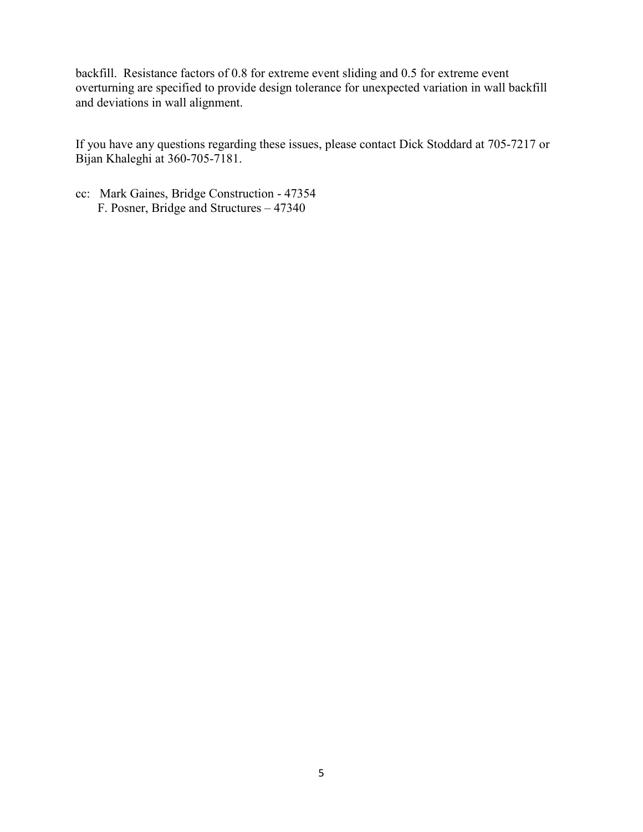backfill. Resistance factors of 0.8 for extreme event sliding and 0.5 for extreme event overturning are specified to provide design tolerance for unexpected variation in wall backfill and deviations in wall alignment.

If you have any questions regarding these issues, please contact Dick Stoddard at 705-7217 or Bijan Khaleghi at 360-705-7181.

cc: Mark Gaines, Bridge Construction - 47354 F. Posner, Bridge and Structures – 47340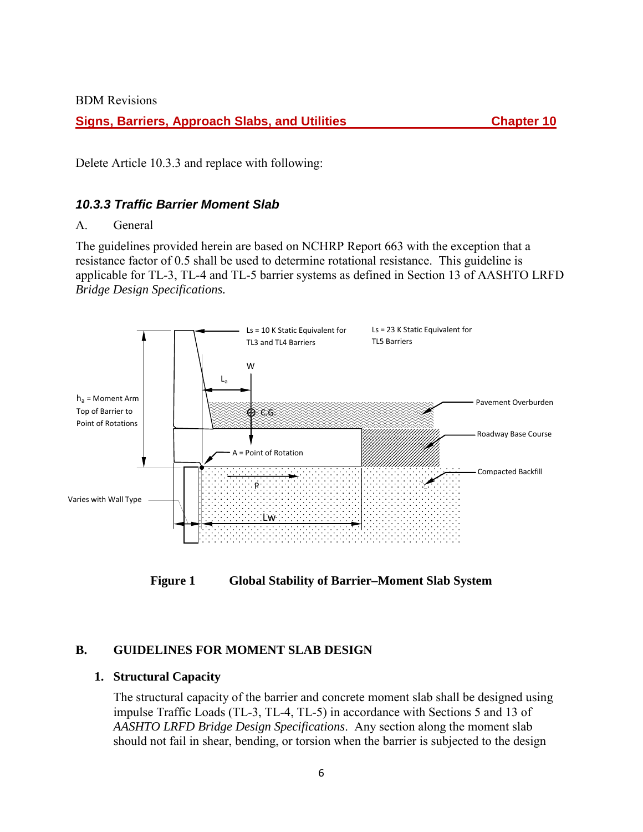BDM Revisions

**Signs, Barriers, Approach Slabs, and Utilities Chapter 10** Chapter 10

Delete Article 10.3.3 and replace with following:

## *10.3.3 Traffic Barrier Moment Slab*

## A. General

The guidelines provided herein are based on NCHRP Report 663 with the exception that a resistance factor of 0.5 shall be used to determine rotational resistance. This guideline is applicable for TL-3, TL-4 and TL-5 barrier systems as defined in Section 13 of AASHTO LRFD *Bridge Design Specifications.* 



**Figure 1 Global Stability of Barrier–Moment Slab System** 

# **B. GUIDELINES FOR MOMENT SLAB DESIGN**

## **1. Structural Capacity**

The structural capacity of the barrier and concrete moment slab shall be designed using impulse Traffic Loads (TL-3, TL-4, TL-5) in accordance with Sections 5 and 13 of *AASHTO LRFD Bridge Design Specifications*. Any section along the moment slab should not fail in shear, bending, or torsion when the barrier is subjected to the design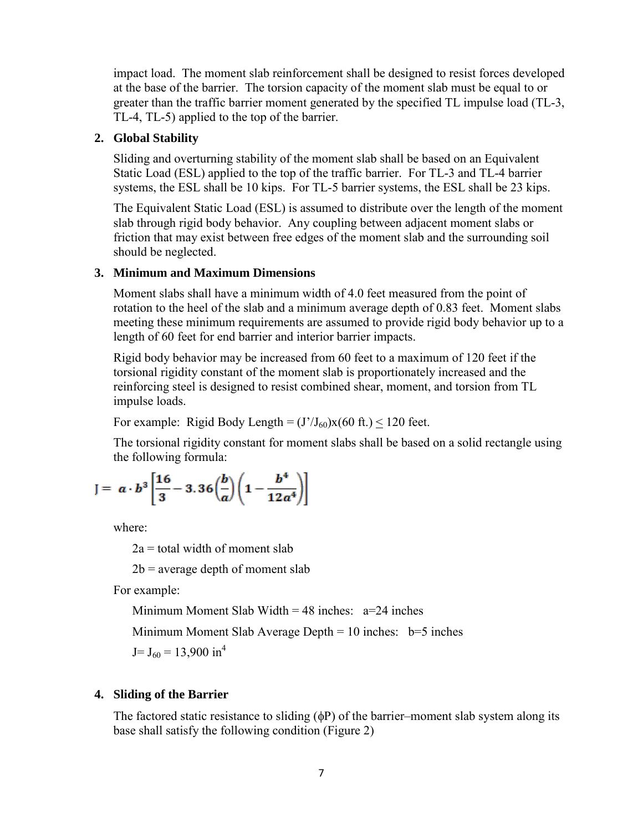impact load. The moment slab reinforcement shall be designed to resist forces developed at the base of the barrier. The torsion capacity of the moment slab must be equal to or greater than the traffic barrier moment generated by the specified TL impulse load (TL-3, TL-4, TL-5) applied to the top of the barrier.

## **2. Global Stability**

Sliding and overturning stability of the moment slab shall be based on an Equivalent Static Load (ESL) applied to the top of the traffic barrier. For TL-3 and TL-4 barrier systems, the ESL shall be 10 kips. For TL-5 barrier systems, the ESL shall be 23 kips.

The Equivalent Static Load (ESL) is assumed to distribute over the length of the moment slab through rigid body behavior. Any coupling between adjacent moment slabs or friction that may exist between free edges of the moment slab and the surrounding soil should be neglected.

## **3. Minimum and Maximum Dimensions**

Moment slabs shall have a minimum width of 4.0 feet measured from the point of rotation to the heel of the slab and a minimum average depth of 0.83 feet. Moment slabs meeting these minimum requirements are assumed to provide rigid body behavior up to a length of 60 feet for end barrier and interior barrier impacts.

Rigid body behavior may be increased from 60 feet to a maximum of 120 feet if the torsional rigidity constant of the moment slab is proportionately increased and the reinforcing steel is designed to resist combined shear, moment, and torsion from TL impulse loads.

For example: Rigid Body Length =  $(J'/J_{60})x(60 \text{ ft.})$  < 120 feet.

The torsional rigidity constant for moment slabs shall be based on a solid rectangle using the following formula:

$$
J = \alpha \cdot b^3 \left[ \frac{16}{3} - 3.36 \left( \frac{b}{a} \right) \left( 1 - \frac{b^4}{12 a^4} \right) \right]
$$

where:

 $2a =$  total width of moment slab

 $2b$  = average depth of moment slab

For example:

Minimum Moment Slab Width =  $48$  inches:  $a=24$  inches

Minimum Moment Slab Average Depth  $= 10$  inches:  $b=5$  inches

 $J= J_{60} = 13,900 \text{ in}^4$ 

# **4. Sliding of the Barrier**

The factored static resistance to sliding  $(\phi P)$  of the barrier–moment slab system along its base shall satisfy the following condition (Figure 2)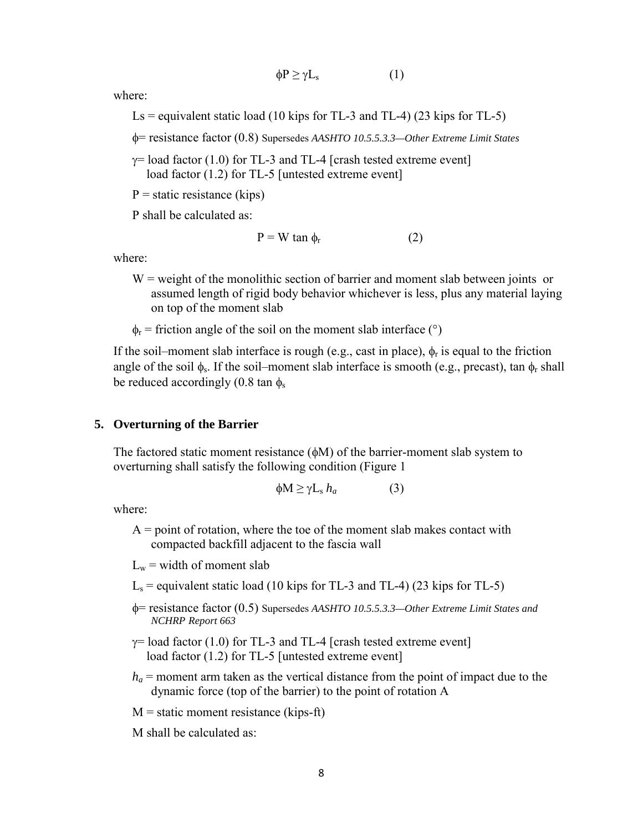$$
\phi P \ge \gamma L_s \tag{1}
$$

where:

Ls = equivalent static load (10 kips for TL-3 and TL-4) (23 kips for TL-5)

φ= resistance factor (0.8) Supersedes *AASHTO 10.5.5.3.3—Other Extreme Limit States*

 $\gamma$ = load factor (1.0) for TL-3 and TL-4 [crash tested extreme event] load factor (1.2) for TL-5 [untested extreme event]

 $P =$  static resistance (kips)

P shall be calculated as:

$$
P = W \tan \phi_r \tag{2}
$$

where:

- $W =$  weight of the monolithic section of barrier and moment slab between joints or assumed length of rigid body behavior whichever is less, plus any material laying on top of the moment slab
- $\phi_r$  = friction angle of the soil on the moment slab interface (°)

If the soil–moment slab interface is rough (e.g., cast in place),  $\phi_r$  is equal to the friction angle of the soil  $\phi_s$ . If the soil–moment slab interface is smooth (e.g., precast), tan  $\phi_r$  shall be reduced accordingly (0.8 tan  $\phi_s$ )

#### **5. Overturning of the Barrier**

The factored static moment resistance  $(\phi M)$  of the barrier-moment slab system to overturning shall satisfy the following condition (Figure 1

$$
\phi M \ge \gamma L_s h_a \tag{3}
$$

where:

 $A =$  point of rotation, where the toe of the moment slab makes contact with compacted backfill adjacent to the fascia wall

 $L_w$  = width of moment slab

- $L<sub>s</sub>$  = equivalent static load (10 kips for TL-3 and TL-4) (23 kips for TL-5)
- φ= resistance factor (0.5) Supersedes *AASHTO 10.5.5.3.3—Other Extreme Limit States and NCHRP Report 663*
- $\gamma$ = load factor (1.0) for TL-3 and TL-4 [crash tested extreme event] load factor (1.2) for TL-5 [untested extreme event]
- $h_a$  = moment arm taken as the vertical distance from the point of impact due to the dynamic force (top of the barrier) to the point of rotation A

 $M =$  static moment resistance (kips-ft)

M shall be calculated as: